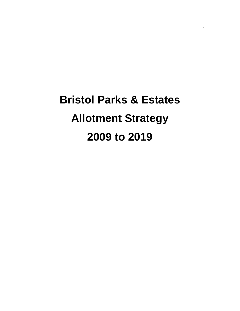# **Bristol Parks & Estates Allotment Strategy 2009 to 2019**

**.**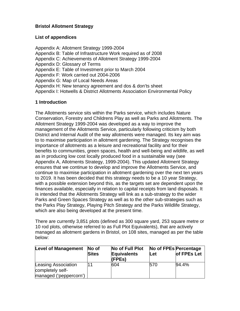## **Bristol Allotment Strategy**

## **List of appendices**

Appendix A: Allotment Strategy 1999-2004 Appendix B: Table of Infrastructure Work required as of 2008 Appendix C: Achievements of Allotment Strategy 1999-2004 Appendix D: Glossary of Terms Appendix E: Table of Investment prior to March 2004 Appendix F: Work carried out 2004-2006 Appendix G: Map of Local Needs Areas Appendix H: New tenancy agreement and dos & don'ts sheet Appendix I: Hotwells & District Allotments Association Environmental Policy

## **1 Introduction**

The Allotments service sits within the Parks service, which includes Nature Conservation, Forestry and Childrens Play as well as Parks and Allotments. The Allotment Strategy 1999-2004 was developed as a way to improve the management of the Allotments Service, particularly following criticism by both District and Internal Audit of the way allotments were managed. Its key aim was to to maximise participation in allotment gardening. The Strategy recognises the importance of allotments as a leisure and recreational facility and for their benefits to communities, green spaces, health and well-being and wildlife, as well as in producing low cost locally produced food in a sustainable way (see Appendix A, Allotments Strategy, 1999-2004). This updated Allotment Strategy ensures that we continue to develop and improve the Allotments Service, and continue to maximise participation in allotment gardening over the next ten years to 2019. It has been decided that this strategy needs to be a 10 year Strategy, with a possible extension beyond this, as the targets set are dependent upon the finances available, especially in relation to capital receipts from land disposals. It is intended that the Allotments Strategy will link as a sub-strategy to the wider Parks and Green Spaces Strategy as well as to the other sub-strategies such as the Parks Play Strategy, Playing Pitch Strategy and the Parks Wildlife Strategy, which are also being developed at the present time.

There are currently 3,851 plots (defined as 300 square yard, 253 square metre or 10 rod plots, otherwise referred to as Full Plot Equivalents), that are actively managed as allotment gardens in Bristol, on 108 sites, managed as per the table below:

| <b>Level of Management</b> | $\overline{\mathsf{No}}$ of<br><b>Sites</b> | No of Full Plot<br><b>Equivalents</b><br>(FPEs) | Let | No of FPEs Percentage<br>of FPEs Let |
|----------------------------|---------------------------------------------|-------------------------------------------------|-----|--------------------------------------|
| Leasing Association        | 11                                          | 604                                             | 570 | 94.4%                                |
| completely self-           |                                             |                                                 |     |                                      |
| managed ('peppercorn')     |                                             |                                                 |     |                                      |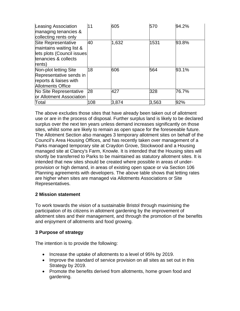| Leasing Association<br>managing tenancies &<br>collecting rents only                                                   | 11  | 605   | 570   | 94.2% |
|------------------------------------------------------------------------------------------------------------------------|-----|-------|-------|-------|
| <b>Site Representative</b><br>maintains waiting list &<br>lets plots (Council issues<br>tenancies & collects<br>rents) | 40  | 1,632 | 1531  | 93.8% |
| Non-plot letting Site<br>Representative sends in<br>reports & liaises with<br><b>Allotments Office</b>                 | 18  | 606   | 564   | 93.1% |
| No Site Representative<br>or Allotment Association                                                                     | 28  | 427   | 328   | 76.7% |
| Total                                                                                                                  | 108 | 3,874 | 3,563 | 92%   |

The above excludes those sites that have already been taken out of allotment use or are in the process of disposal. Further surplus land is likely to be declared surplus over the next ten years unless demand increases significantly on those sites, whilst some are likely to remain as open space for the foreseeable future. The Allotment Section also manages 3 temporary allotment sites on behalf of the Council's Area Housing Offices, and has recently taken over management of a Parks managed temporary site at Craydon Grove, Stockwood and a Housing managed site at Clancy's Farm, Knowle. It is intended that the Housing sites will shortly be transferred to Parks to be maintained as statutory allotment sites. It is intended that new sites should be created where possible in areas of underprovision or high demand, in areas of existing open space or via Section 106 Planning agreements with developers. The above table shows that letting rates are higher when sites are managed via Allotments Associations or Site Representatives.

## **2 Mission statement**

To work towards the vision of a sustainable Bristol through maximising the participation of its citizens in allotment gardening by the improvement of allotment sites and their management, and through the promotion of the benefits and enjoyment of allotments and food growing.

## **3 Purpose of strategy**

The intention is to provide the following:

- Increase the uptake of allotments to a level of 95% by 2019.
- Improve the standard of service provision on all sites as set out in this Strategy by 2019.
- Promote the benefits derived from allotments, home grown food and gardening.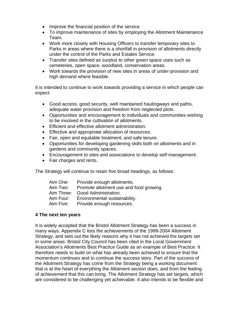- Improve the financial position of the service.
- To improve maintenance of sites by employing the Allotment Maintenance Team.
- Work more closely with Housing Officers to transfer temporary sites to Parks in areas where there is a shortfall in provision of allotments directly under the control of the Parks and Estates Service.
- Transfer sites defined as surplus to other green space uses such as cemeteries, open space, woodland, conservation areas.
- Work towards the provision of new sites in areas of under-provision and high demand where feasible.

It is intended to continue to work towards providing a service in which people can expect:

- Good access, good security, well maintained haulingways and paths, adequate water provision and freedom from neglected plots.
- Opportunities and encouragement to individuals and communities wishing to be involved in the cultivation of allotments.
- Efficient and effective allotment administration.
- Effective and appropriate allocation of resources.
- Fair, open and equitable treatment, and safe tenure.
- Opportunities for developing gardening skills both on allotments and in gardens and community spaces.
- Encouragement to sites and associations to develop self-management.
- Fair charges and rents.

The Strategy will continue to retain five broad headings, as follows:

| Aim One:  | Provide enough allotments.              |
|-----------|-----------------------------------------|
| Aim Two:  | Promote allotment use and food growing. |
|           | Aim Three: Good Administration.         |
| Aim Four: | Environmental sustainability.           |
| Aim Five: | Provide enough resources.               |
|           |                                         |

#### **4 The next ten years**

It is widely accepted that the Bristol Allotment Strategy has been a success in many ways. Appendix C lists the achievements of the 1999-2004 Allotment Strategy, and sets out the likely reasons why it has not achieved the targets set in some areas. Bristol City Council has been cited in the Local Government Association's Allotments Best Practice Guide as an example of Best Practice. It therefore needs to build on what has already been achieved to ensure that the momentum continues and to continue the success story. Part of the success of the Allotment Strategy has come from the Strategy being a working document that is at the heart of everything the Allotment section does, and from the feeling of achievement that this can bring. The Allotment Strategy has set targets, which are considered to be challenging yet achievable. It also intends to be flexible and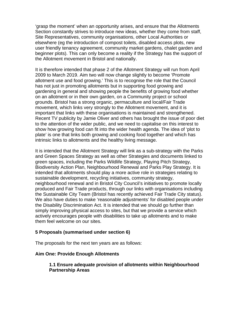'grasp the moment' when an opportunity arises, and ensure that the Allotments Section constantly strives to introduce new ideas, whether they come from staff, Site Representatives, community organisations, other Local Authorities or elsewhere (eg the introduction of compost toilets, disabled access plots, new user friendly tenancy agreement, community market gardens, chalet garden and beginner plots). This can only become a reality if the Strategy has the support of the Allotment movement in Bristol and nationally.

It is therefore intended that phase 2 of the Allotment Strategy will run from April 2009 to March 2019. Aim two will now change slightly to become 'Promote allotment use and food growing.' This is to recognise the role that the Council has not just in promoting allotments but in supporting food growing and gardening in general and showing people the benefits of growing food whether on an allotment or in their own garden, on a Community project or school grounds. Bristol has a strong organic, permaculture and local/Fair Trade movement, which links very strongly to the Allotment movement, and it is important that links with these organisations is maintained and strengthened. Recent TV publicity by Jamie Oliver and others has brought the issue of poor diet to the attention of the wider public, and we need to capitalise on this interest to show how growing food can fit into the wider health agenda. The idea of 'plot to plate' is one that links both growing and cooking food together and which has intrinsic links to allotments and the healthy living message.

It is intended that the Allotment Strategy will link as a sub-strategy with the Parks and Green Spaces Strategy as well as other Strategies and documents linked to green spaces, including the Parks Wildlife Strategy, Playing Pitch Strategy, Biodiversity Action Plan, Neighbourhood Renewal and Parks Play Strategy. It is intended that allotments should play a more active role in strategies relating to sustainable development, recycling initiatives, community strategy, neighbourhood renewal and in Bristol City Council's initiatives to promote locally produced and Fair Trade products, through our links with organisations including the Sustainable City Team (Bristol has recently achieved Fair Trade City status). We also have duties to make 'reasonable adjustments' for disabled people under the Disability Discrimination Act. It is intended that we should go further than simply improving physical access to sites, but that we provide a service which actively encourages people with disabilities to take up allotments and to make them feel welcome on our sites.

#### **5 Proposals (summarised under section 6)**

The proposals for the next ten years are as follows:

#### **Aim One: Provide Enough Allotments**

#### **1.1 Ensure adequate provision of allotments within Neighbourhood Partnership Areas**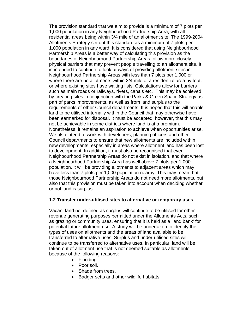The provision standard that we aim to provide is a minimum of 7 plots per 1,000 population in any Neighbourhood Partnership Area, with all residential areas being within 3/4 mile of an allotment site. The 1999-2004 Allotments Strategy set out this standard as a minimum of 7 plots per 1,000 population in any ward. It is considered that using Neighbourhood Partnership Areas is a better way of calculating this provision as the boundaries of Neighbourhood Partnership Areas follow more closely physical barriers that may prevent people travelling to an allotment site. It is intended to continue to look at ways of providing allotment sites in Neighbourhood Partnership Areas with less than 7 plots per 1,000 or where there are no allotments within 3/4 mile of a residential area by foot, or where existing sites have waiting lists. Calculations allow for barriers such as main roads or railways, rivers, canals etc. This may be achieved by creating sites in conjunction with the Parks & Green Space Strategy as part of parks improvements, as well as from land surplus to the requirements of other Council departments. It is hoped that this will enable land to be utilised internally within the Council that may otherwise have been earmarked for disposal. It must be accepted, however, that this may not be achievable in some districts where land is at a premium. Nonetheless, it remains an aspiration to achieve when opportunities arise. We also intend to work with developers, planning officers and other Council departments to ensure that new allotments are included within new developments, especially in areas where allotment land has been lost to development. In addition, it must also be recognised that even Neighbourhood Partnership Areas do not exist in isolation, and that where a Neighbourhood Partnership Area has well above 7 plots per 1,000 population, it will be providing allotments to adjacent areas which may have less than 7 plots per 1,000 population nearby. This may mean that those Neighbourhood Partnership Areas do not need more allotments, but also that this provision must be taken into account when deciding whether or not land is surplus.

#### **1.2 Transfer under-utilised sites to alternative or temporary uses**

Vacant land not defined as surplus will continue to be utilised for other revenue generating purposes permitted under the Allotments Acts, such as grazing or community uses, ensuring that it is held as a 'land bank' for potential future allotment use. A study will be undertaken to identify the types of uses on allotments and the areas of land available to be transferred to alternative uses. Surplus and under-utilised sites will continue to be transferred to alternative uses. In particular, land will be taken out of allotment use that is not deemed suitable as allotments because of the following reasons:

- Flooding.
- Poor soil.
- Shade from trees.
- Badger setts and other wildlife habitats.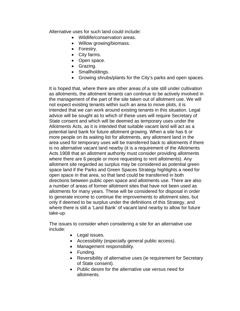Alternative uses for such land could include:

- Wildlife/conservation areas.
- Willow growing/biomass.
- Forestry.
- City farms.
- Open space.
- Grazing.
- Smallholdings.
- Growing shrubs/plants for the City's parks and open spaces.

It is hoped that, where there are other areas of a site still under cultivation as allotments, the allotment tenants can continue to be actively involved in the management of the part of the site taken out of allotment use. We will not expect existing tenants within such an area to move plots, it is intended that we can work around existing tenants in this situation. Legal advice will be sought as to which of these uses will require Secretary of State consent and which will be deemed as temporary uses under the Allotments Acts, as it is intended that suitable vacant land will act as a potential land bank for future allotment growing. When a site has 6 or more people on its waiting list for allotments, any allotment land in the area used for temporary uses will be transferred back to allotments if there is no alternative vacant land nearby (it is a requirement of the Allotments Acts 1908 that an allotment authority must consider providing allotments where there are 6 people or more requesting to rent allotments). Any allotment site regarded as surplus may be considered as potential green space land if the Parks and Green Spaces Strategy highlights a need for open space in that area, so that land could be transferred in both directions between public open space and allotments use. There are also a number of areas of former allotment sites that have not been used as allotments for many years. These will be considered for disposal in order to generate income to continue the improvements to allotment sites, but only if deemed to be surplus under the definitions of this Strategy, and where there is still a 'Land Bank' of vacant land nearby to allow for future take-up.

The issues to consider when considering a site for an alternative use include:

- Legal issues.
- Accessibility (especially general public access).
- Management responsibility.
- Funding.
- Reversibility of alternative uses (ie requirement for Secretary of State consent).
- Public desire for the alternative use versus need for allotments.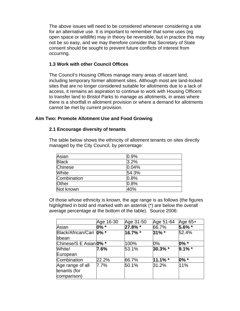The above issues will need to be considered whenever considering a site for an alternative use. It is important to remember that some uses (eg open space or wildlife) may in theory be reversible, but in practice this may not be so easy, and we may therefore consider that Secretary of State consent should be sought to prevent future conflicts of interest from occurring.

### **1.3 Work with other Council Offices**

The Council's Housing Offices manage many areas of vacant land, including temporary former allotment sites. Although most are land-locked sites that are no longer considered suitable for allotments due to a lack of access, it remains an aspiration to continue to work with Housing Officers to transfer land to Bristol Parks to manage as allotments, in areas where there is a shortfall in allotment provision or where a demand for allotments cannot be met by current provision.

#### **Aim Two: Promote Allotment Use and Food Growing**

#### **2.1 Encourage diversity of tenants**

The table below shows the ethnicity of allotment tenants on sites directly managed by the City Council, by percentage:

| Asian          | 0.9%  |
|----------------|-------|
| <b>Black</b>   | 3.2%  |
| <b>Chinese</b> | 0.04% |
| White          | 54.3% |
| Combination    | 0.8%  |
| Other          | 0.8%  |
| Not known      | 40%   |

Of those whose ethnicity is known, the age range is as follows (the figures highlighted in bold and marked with an asterisk (\*) are below the overall average percentage at the bottom of the table). Source 2006:

|                                  | Age 16-30 | Age 31-50 | Age 51-64  | Age 65+   |
|----------------------------------|-----------|-----------|------------|-----------|
| Asian                            | $0\% *$   | 27.8% *   | 66.7%      | 5.6% *    |
| Black/African/Cari 0% *<br>bbean |           | 16.7% *   | $31\%$ *   | 52.4%     |
| Chinese/S E Asian 0% *           |           | 100%      | $0\%$      | $0\% *$   |
| White/                           | 7.6%      | 53.1%     | 30.3% *    | $9.1\%$ * |
| European                         |           |           |            |           |
| Combination                      | 22.2%     | 66.7%     | $11.1\%$ * | $0\% *$   |
| Age range of all                 | $7.7\%$   | 50.1%     | 31.2%      | 11%       |
| tenants (for<br>comparison)      |           |           |            |           |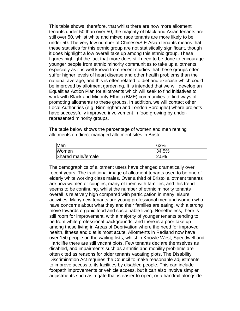This table shows, therefore, that whilst there are now more allotment tenants under 50 than over 50, the majority of black and Asian tenants are still over 50, whilst white and mixed race tenants are more likely to be under 50. The very low number of Chinese/S E Asian tenants means that these statistics for this ethnic group are not statistically significant, though it does highlight a low overall take up among this ethnic group. These figures highlight the fact that more does still need to be done to encourage younger people from ethnic minority communities to take up allotments, especially as it is well known from recent studies that these groups often suffer higher levels of heart disease and other health problems than the national average, and this is often related to diet and exercise which could be improved by allotment gardening. It is intended that we will develop an Equalities Action Plan for allotments which will seek to find initiatives to work with Black and Minority Ethnic (BME) communities to find ways of promoting allotments to these groups. In addition, we will contact other Local Authorities (e.g. Birmingham and London Boroughs) where projects have successfully improved involvement in food growing by underrepresented minority groups.

The table below shows the percentage of women and men renting allotments on direct managed allotment sites in Bristol:

| Men                | 63%   |
|--------------------|-------|
| Women              | 34.5% |
| Shared male/female | 2.5%  |

The demographics of allotment users have changed dramatically over recent years. The traditional image of allotment tenants used to be one of elderly white working class males. Over a third of Bristol allotment tenants are now women or couples, many of them with families, and this trend seems to be continuing, whilst the number of ethnic minority tenants overall is relatively high compared with participation in many leisure activities. Many new tenants are young professional men and women who have concerns about what they and their families are eating, with a strong move towards organic food and sustainable living. Nonetheless, there is still room for improvement, with a majority of younger tenants tending to be from white professional backgrounds, and there is a poor take up among those living in Areas of Deprivation where the need for improved health, fitness and diet is most acute. Allotments in Redland now have over 150 people on the waiting lists, whilst in Knowle West, Speedwell and Hartcliffe there are still vacant plots. Few tenants declare themselves as disabled, and impairments such as arthritis and mobility problems are often cited as reasons for older tenants vacating plots. The Disability Discrimination Act requires the Council to make reasonable adjustments to improve access to its facilities by disabled people. This can include footpath improvements or vehicle access, but it can also involve simpler adjustments such as a gate that is easier to open, or a handrail alongside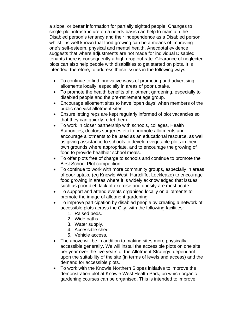a slope, or better information for partially sighted people. Changes to single-plot infrastructure on a needs-basis can help to maintain the Disabled person's tenancy and their independence as a Disabled person, whilst it is well known that food growing can be a means of improving one's self-esteem, physical and mental health. Anecdotal evidence suggests that where adjustments are not made for individual Disabled tenants there is consequently a high drop out rate. Clearance of neglected plots can also help people with disabilities to get started on plots. It is intended, therefore, to address these issues in the following ways:

- To continue to find innovative ways of promoting and advertising allotments locally, especially in areas of poor uptake.
- To promote the health benefits of allotment gardening, especially to disabled people and the pre-retirement age group.
- Encourage allotment sites to have 'open days' when members of the public can visit allotment sites.
- Ensure letting reps are kept regularly informed of plot vacancies so that they can quickly re-let them.
- To work in closer partnership with schools, colleges, Health Authorities, doctors surgeries etc to promote allotments and encourage allotments to be used as an educational resource, as well as giving assistance to schools to develop vegetable plots in their own grounds where appropriate, and to encourage the growing of food to provide healthier school meals.
- To offer plots free of charge to schools and continue to promote the Best School Plot competition.
- To continue to work with more community groups, especially in areas of poor uptake (eg Knowle West, Hartcliffe, Lockleaze) to encourage food growing in areas where it is widely acknowledged that issues such as poor diet, lack of exercise and obesity are most acute.
- To support and attend events organised locally on allotments to promote the image of allotment gardening.
- To improve participation by disabled people by creating a network of accessible plots across the City, with the following facilities:
	- 1. Raised beds.
	- 2. Wide paths.
	- 3. Water supply.
	- 4. Accessible shed.
	- 5. Vehicle access.
- The above will be in addition to making sites more physically accessible generally. We will install the accessible plots on one site per year over the five years of the Allotment Strategy, dependant upon the suitability of the site (in terms of levels and access) and the demand for accessible plots.
- To work with the Knowle Northern Slopes initiative to improve the demonstration plot at Knowle West Health Park, on which organic gardening courses can be organised. This is intended to improve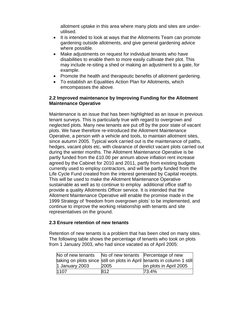allotment uptake in this area where many plots and sites are underutilised.

- It is intended to look at ways that the Allotments Team can promote gardening outside allotments, and give general gardening advice where possible.
- Make adjustments on request for individual tenants who have disabilities to enable them to more easily cultivate their plot. This may include re-siting a shed or making an adjustment to a gate, for example.
- Promote the health and therapeutic benefits of allotment gardening.
- To establish an Equalities Action Plan for Allotments, which emcompasses the above.

## **2.2 Improved maintenance by Improving Funding for the Allotment Maintenance Operative**

Maintenance is an issue that has been highlighted as an issue in previous tenant surveys. This is particularly true with regard to overgrown and neglected plots. Many new tenants are put off by the poor state of vacant plots. We have therefore re-introduced the Allotment Maintenance Operative, a person with a vehicle and tools, to maintain allotment sites, since autumn 2005. Typical work carried out is the maintenance of paths, hedges, vacant plots etc, with clearance of derelict vacant plots carried out during the winter months. The Allotment Maintenance Operative is be partly funded from the £10.00 per annum above inflation rent increase agreed by the Cabinet for 2010 and 2011, partly from existing budgets currently used to employ contractors, and will be partly funded from the Life Cycle Fund created from the interest generated by Capital receipts. This will be used to make the Allotment Maintenance Operative sustainable as well as to continue to employ additional office staff to provide a quality Allotments Officer service. It is intended that the Allotment Maintenance Operative will enable the promise made in the 1999 Strategy of 'freedom from overgrown plots' to be implemented, and continue to improve the working relationship with tenants and site representatives on the ground.

#### **2.3 Ensure retention of new tenants**

Retention of new tenants is a problem that has been cited on many sites. The following table shows the percentage of tenants who took on plots from 1 January 2003, who had since vacated as of April 2005:

| No of new tenants | No of new tenants Percentage of new |                                                                         |
|-------------------|-------------------------------------|-------------------------------------------------------------------------|
|                   |                                     | taking on plots since still on plots in April tenants in column 1 still |
| 1 January 2003    | 2005                                | on plots in April 2005                                                  |
| 1107              | 812                                 | 73.4%                                                                   |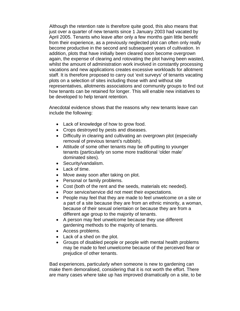Although the retention rate is therefore quite good, this also means that just over a quarter of new tenants since 1 January 2003 had vacated by April 2005. Tenants who leave after only a few months gain little benefit from their experience, as a previously neglected plot can often only really become productive in the second and subsequent years of cultivation. In addition, plots that have initially been cleared soon become overgrown again, the expense of clearing and rotovating the plot having been wasted, whilst the amount of administration work involved in constantly processing vacations and new applications creates excessive workloads for allotment staff. It is therefore proposed to carry out 'exit surveys' of tenants vacating plots on a selection of sites including those with and without site representatives, allotments associations and community groups to find out how tenants can be retained for longer. This will enable new initiatives to be developed to help tenant retention.

Anecdotal evidence shows that the reasons why new tenants leave can include the following:

- Lack of knowledge of how to grow food.
- Crops destroyed by pests and diseases.
- Difficulty in clearing and cultivating an overgrown plot (especially removal of previous tenant's rubbish).
- Attitude of some other tenants may be off-putting to younger tenants (particularly on some more traditional 'older male' dominated sites).
- Security/vandalism.
- Lack of time.
- Move away soon after taking on plot.
- Personal or family problems.
- Cost (both of the rent and the seeds, materials etc needed).
- Poor service/service did not meet their expectations.
- People may feel that they are made to feel unwelcome on a site or a part of a site because they are from an ethnic minority, a woman, because of their sexual orientaion or because they are from a different age group to the majority of tenants.
- A person may feel unwelcome because they use different gardening methods to the majority of tenants.
- Access problems.
- Lack of a shed on the plot.
- Groups of disabled people or people with mental health problems may be made to feel unwelcome because of the perceived fear or prejudice of other tenants.

Bad experiences, particularly when someone is new to gardening can make them demoralised, considering that it is not worth the effort. There are many cases where take up has improved dramatically on a site, to be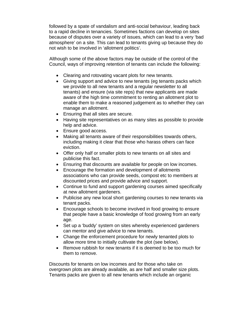followed by a spate of vandalism and anti-social behaviour, leading back to a rapid decline in tenancies. Sometimes factions can develop on sites because of disputes over a variety of issues, which can lead to a very 'bad atmosphere' on a site. This can lead to tenants giving up because they do not wish to be involved in 'allotment politics'.

Although some of the above factors may be outside of the control of the Council, ways of improving retention of tenants can include the following:

- Clearing and rotovating vacant plots for new tenants.
- Giving support and advice to new tenants (eg tenants packs which we provide to all new tenants and a regular newsletter to all tenants) and ensure (via site reps) that new applicants are made aware of the high time commitment to renting an allotment plot to enable them to make a reasoned judgement as to whether they can manage an allotment.
- Ensuring that all sites are secure.
- Having site representatives on as many sites as possible to provide help and advice.
- Ensure good access.
- Making all tenants aware of their responsibilities towards others, including making it clear that those who harass others can face eviction.
- Offer only half or smaller plots to new tenants on all sites and publicise this fact.
- Ensuring that discounts are available for people on low incomes.
- Encourage the formation and development of allotments associations who can provide seeds, compost etc to members at discounted prices and provide advice and support.
- Continue to fund and support gardening courses aimed specifically at new allotment gardeners.
- Publicise any new local short gardening courses to new tenants via tenant packs.
- Encourage schools to become involved in food growing to ensure that people have a basic knowledge of food growing from an early age.
- Set up a 'buddy' system on sites whereby experienced gardeners can mentor and give advice to new tenants.
- Change the enforcement procedure for newly tenanted plots to allow more time to initially cultivate the plot (see below).
- Remove rubbish for new tenants if it is deemed to be too much for them to remove.

Discounts for tenants on low incomes and for those who take on overgrown plots are already available, as are half and smaller size plots. Tenants packs are given to all new tenants which include an organic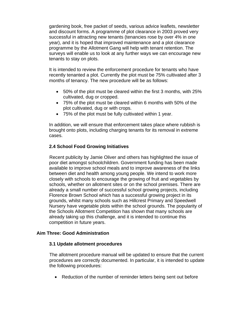gardening book, free packet of seeds, various advice leaflets, newsletter and discount forms. A programme of plot clearance in 2003 proved very successful in attracting new tenants (tenancies rose by over 4% in one year), and it is hoped that improved maintenance and a plot clearance programme by the Allotment Gang will help with tenant retention. The surveys will enable us to look at any further ways we can encourage new tenants to stay on plots.

It is intended to review the enforcement procedure for tenants who have recently tenanted a plot. Currently the plot must be 75% cultivated after 3 months of tenancy. The new procedure will be as follows:

- 50% of the plot must be cleared within the first 3 months, with 25% cultivated, dug or cropped.
- 75% of the plot must be cleared within 6 months with 50% of the plot cultivated, dug or with crops.
- 75% of the plot must be fully cultivated within 1 year.

In addition, we will ensure that enforcement takes place where rubbish is brought onto plots, including charging tenants for its removal in extreme cases.

## **2.4 School Food Growing Initiatives**

Recent publicity by Jamie Oliver and others has highlighted the issue of poor diet amongst schoolchildren. Government funding has been made available to improve school meals and to improve awareness of the links between diet and health among young people. We intend to work more closely with schools to encourage the growing of fruit and vegetables by schools, whether on allotment sites or on the school premises. There are already a small number of successful school growing projects, including Florence Brown School which has a successful growing project in its grounds, whilst many schools such as Hillcrest Primary and Speedwell Nursery have vegetable plots within the school grounds. The popularity of the Schools Allotment Competition has shown that many schools are already taking up this challenge, and it is intended to continue this competition in future years.

#### **Aim Three: Good Administration**

#### **3.1 Update allotment procedures**

The allotment procedure manual will be updated to ensure that the current procedures are correctly documented. In particular, it is intended to update the following procedures:

• Reduction of the number of reminder letters being sent out before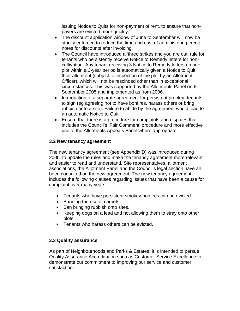issuing Notice to Quits for non-payment of rent, to ensure that nonpayers are evicted more quickly.

- The discount application window of June to September will now be strictly enforced to reduce the time and cost of administering credit notes for discounts after invoicing.
- The Council have introduced a 'three strikes and you are out' rule for tenants who persistently receive Notice to Remedy letters for noncultivation. Any tenant receiving 3 Notice to Remedy letters on one plot within a 3-year period is automatically given a Notice to Quit their allotment (subject to inspection of the plot by an Allotment Officer), which will not be rescinded other than in exceptional circumstances. This was supported by the Allotments Panel on 6 September 2005 and implemented as from 2006.
- Introduction of a separate agreement for persistent problem tenants to sign (eg agreeing not to have bonfires, harass others or bring rubbish onto a site). Failure to abide by the agreement would lead to an automatic Notice to Quit.
- Ensure that there is a procedure for complaints and disputes that includes the Council's 'Fair Comment' procedure and more effective use of the Allotments Appeals Panel where appropriate.

## **3.2 New tenancy agreement**

The new tenancy agreement (see Appendix D) was introduced during 2005, to update the rules and make the tenancy agreement more relevant and easier to read and understand. Site representatives, allotment associations, the Allotment Panel and the Council's legal section have all been consulted on the new agreement. The new tenancy agreement includes the following clauses regarding issues that have been a cause for complaint over many years:

- Tenants who have persistent smokey bonfires can be evicted.
- Banning the use of carpets.
- Ban bringing rubbish onto sites.
- Keeping dogs on a lead and not allowing them to stray onto other plots.
- Tenants who harass others can be evicted.

#### **3.3 Quality assurance**

As part of Neighbourhoods and Parks & Estates, it is intended to persue Quality Assurance Accreditation such as Customer Service Excellence to demonstrate our commitment to improving our service and customer satisfaction.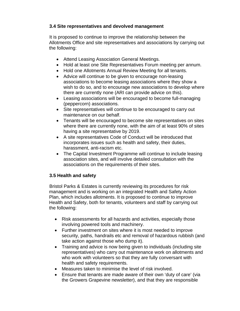## **3.4 Site representatives and devolved management**

It is proposed to continue to improve the relationship between the Allotments Office and site representatives and associations by carrying out the following:

- Attend Leasing Association General Meetings.
- Hold at least one Site Representatives Forum meeting per annum.
- Hold one Allotments Annual Review Meeting for all tenants.
- Advice will continue to be given to encourage non-leasing associations to become leasing associations where they show a wish to do so, and to encourage new associations to develop where there are currently none (ARI can provide advice on this).
- Leasing associations will be encouraged to become full-managing (peppercorn) associations.
- Site representatives will continue to be encouraged to carry out maintenance on our behalf.
- Tenants will be encouraged to become site representatives on sites where there are currently none, with the aim of at least 90% of sites having a site representative by 2019.
- A site representatives Code of Conduct will be introduced that incorporates issues such as health and safety, their duties, harassment, anti-racism etc.
- The Capital Investment Programme will continue to include leasing association sites, and will involve detailed consultation with the associations on the requirements of their sites.

# **3.5 Health and safety**

Bristol Parks & Estates is currently reviewing its procedures for risk management and is working on an integrated Health and Safety Action Plan, which includes allotments. It is proposed to continue to improve Health and Safety, both for tenants, volunteers and staff by carrying out the following:

- Risk assessments for all hazards and activities, especially those involving powered tools and machinery.
- Further investment on sites where it is most needed to improve security, paths, handrails etc and removal of hazardous rubbish (and take action against those who dump it).
- Training and advice is now being given to individuals (including site representatives) who carry out maintenance work on allotments and who work with volunteers so that they are fully conversant with health and safety requirements.
- Measures taken to minimise the level of risk involved.
- Ensure that tenants are made aware of their own 'duty of care' (via the Growers Grapevine newsletter), and that they are responsible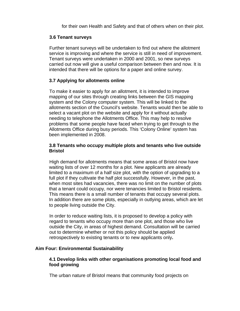for their own Health and Safety and that of others when on their plot.

#### **3.6 Tenant surveys**

Further tenant surveys will be undertaken to find out where the allotment service is improving and where the service is still in need of improvement. Tenant surveys were undertaken in 2000 and 2001, so new surveys carried out now will give a useful comparison between then and now. It is intended that there will be options for a paper and online survey.

## **3.7 Applying for allotments online**

To make it easier to apply for an allotment, it is intended to improve mapping of our sites through creating links between the GIS mapping system and the Colony computer system. This will be linked to the allotments section of the Council's website. Tenants would then be able to select a vacant plot on the website and apply for it without actually needing to telephone the Allotments Office. This may help to resolve problems that some people have faced when trying to get through to the Allotments Office during busy periods. This 'Colony Online' system has been implemented in 2008.

#### **3.8 Tenants who occupy multiple plots and tenants who live outside Bristol**

High demand for allotments means that some areas of Bristol now have waiting lists of over 12 months for a plot. New applicants are already limited to a maximum of a half size plot, with the option of upgrading to a full plot if they cultivate the half plot successfully. However, in the past, when most sites had vacancies, there was no limit on the number of plots that a tenant could occupy, nor were tenancies limited to Bristol residents. This means there is a small number of tenants that occupy several plots. In addition there are some plots, especially in outlying areas, which are let to people living outside the City.

In order to reduce waiting lists, it is proposed to develop a policy with regard to tenants who occupy more than one plot, and those who live outside the City, in areas of highest demand. Consultation will be carried out to determine whether or not this policy should be applied retrospectively to existing tenants or to new applicants only**.** 

#### **Aim Four: Environmental Sustainability**

#### **4.1 Develop links with other organisations promoting local food and food growing**

The urban nature of Bristol means that community food projects on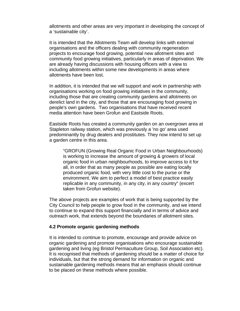allotments and other areas are very important in developing the concept of a 'sustainable city'.

It is intended that the Allotments Team will develop links with external organisations and the officers dealing with community regeneration projects to encourage food growing, potential new allotment sites and community food growing initiatives, particularly in areas of deprivation. We are already having discussions with housing officers with a view to including allotments within some new developments in areas where allotments have been lost.

In addition, it is intended that we will support and work in partnership with organisations working on food growing initiatives in the community, including those that are creating community gardens and allotments on derelict land in the city, and those that are encouraging food growing in people's own gardens. Two organisations that have received recent media attention have been Grofun and Eastside Roots.

Eastside Roots has created a community garden on an overgrown area at Stapleton railway station, which was previously a 'no go' area used predominantly by drug dealers and prostitutes. They now intend to set up a garden centre in this area.

"GROFUN (Growing Real Organic Food in Urban Neighbourhoods) is working to increase the amount of growing & growers of local organic food in urban neighbourhoods, to improve access to it for all, in order that as many people as possible are eating locally produced organic food, with very little cost to the purse or the environment. We aim to perfect a model of best practice easily replicable in any community, in any city, in any country" (excert taken from Grofun website).

The above projects are examples of work that is being supported by the City Council to help people to grow food in the community, and we intend to continue to expand this support financially and in terms of advice and outreach work, that extends beyond the boundaries of allotment sites.

#### **4.2 Promote organic gardening methods**

It is intended to continue to promote, encourage and provide advice on organic gardening and promote organisations who encourage sustainable gardening and living (eg Bristol Permaculture Group, Soil Association etc). It is recognised that methods of gardening should be a matter of choice for individuals, but that the strong demand for information on organic and sustainable gardening methods means that an emphasis should continue to be placed on these methods where possible.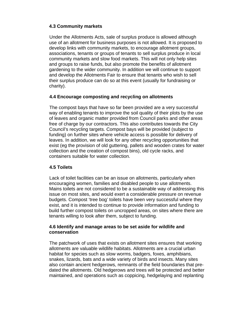## **4.3 Community markets**

Under the Allotments Acts, sale of surplus produce is allowed although use of an allotment for business purposes is not allowed. It is proposed to develop links with community markets, to encourage allotment groups, associations, tenants or groups of tenants to sell surplus produce in local community markets and slow food markets. This will not only help sites and groups to raise funds, but also promote the benefits of allotment gardening to the wider community. In addition we will continue to support and develop the Allotments Fair to ensure that tenants who wish to sell their surplus produce can do so at this event (usually for fundraising or charity).

## **4.4 Encourage composting and recycling on allotments**

The compost bays that have so far been provided are a very successful way of enabling tenants to improve the soil quality of their plots by the use of leaves and organic matter provided from Council parks and other areas free of charge by our contractors. This also contributes towards the City Council's recycling targets. Compost bays will be provided (subject to funding) on further sites where vehicle access is possible for delivery of leaves. In addition, we will look for any other recycling opportunities that exist (eg the provision of old guttering, pallets and wooden crates for water collection and the creation of compost bins), old cycle racks, and containers suitable for water collection.

#### **4.5 Toilets**

Lack of toilet facilities can be an issue on allotments, particularly when encouraging women, families and disabled people to use allotments. Mains toilets are not considered to be a sustainable way of addressing this issue on most sites, and would exert a considerable pressure on revenue budgets. Compost 'tree bog' toilets have been very successful where they exist, and it is intended to continue to provide information and funding to build further compost toilets on uncropped areas, on sites where there are tenants willing to look after them, subject to funding.

#### **4.6 Identify and manage areas to be set aside for wildlife and conservation**

The patchwork of uses that exists on allotment sites ensures that working allotments are valuable wildlife habitats. Allotments are a crucial urban habitat for species such as slow worms, badgers, foxes, amphibians, snakes, lizards, bats and a wide variety of birds and insects. Many sites also contain ancient hedgerows, remnants of the field boundaries that predated the allotments. Old hedgerows and trees will be protected and better maintained, and operations such as coppicing, hedgelaying and replanting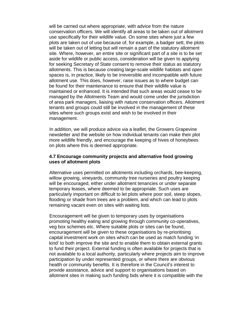will be carried out where appropriate, with advice from the nature conservation officers. We will identify all areas to be taken out of allotment use specifically for their wildlife value. On some sites where just a few plots are taken out of use because of, for example, a badger sett, the plots will be taken out of letting but will remain a part of the statutory allotment site. Where, however, an entire site or significant part of a site is to be set aside for wildlife or public access, consideration will be given to applying for seeking Secretary of State consent to remove their status as statutory allotments. This is because creating large-scale wildlife habitats and open spaces is, in practice, likely to be irreversible and incompatible with future allotment use. This does, however, raise issues as to where budget can be found for their maintenance to ensure that their wildlife value is maintained or enhanced. It is intended that such areas would cease to be managed by the Allotments Team and would come under the jurisdiction of area park managers, liaising with nature conservation officers. Allotment tenants and groups could still be involved in the management of these sites where such groups exist and wish to be involved in their management.

In addition, we will produce advice via a leaflet, the Growers Grapevine newsletter and the website on how individual tenants can make their plot more wildlife friendly, and encourage the keeping of hives of honeybees on plots where this is deemed appropriate.

#### **4.7 Encourage community projects and alternative food growing uses of allotment plots**

Alternative uses permitted on allotments including orchards, bee-keeping, willow growing, vineyards, community tree nurseries and poultry keeping will be encouraged, either under allotment tenancies or under separate temporary leases, where deemed to be appropriate. Such uses are particularly important on difficult to let plots where poor soil, steep slopes, flooding or shade from trees are a problem, and which can lead to plots remaining vacant even on sites with waiting lists.

Encouragement will be given to temporary uses by organisations promoting healthy eating and growing through community co-operatives, veg box schemes etc. Where suitable plots or sites can be found, encouragement will be given to these organisations by re-prioritising capital investment work on sites which can be used as match funding 'in kind' to both improve the site and to enable them to obtain external grants to fund their project. External funding is often available for projects that is not available to a local authority, particularly where projects aim to improve participation by under represented groups, or where there are obvious health or community benefits. It is therefore in the Council's interest to provide assistance, advice and support to organisations based on allotment sites in making such funding bids where it is compatible with the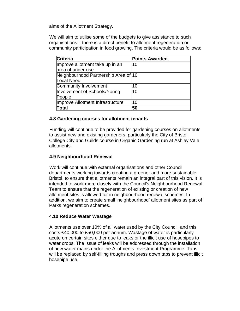aims of the Allotment Strategy.

We will aim to utilise some of the budgets to give assistance to such organisations if there is a direct benefit to allotment regeneration or community participation in food growing. The criteria would be as follows:

| <b>Criteria</b>                      | <b>Points Awarded</b> |
|--------------------------------------|-----------------------|
| Improve allotment take up in an      | 10                    |
| area of under-use                    |                       |
| Neighbourhood Partnership Area of 10 |                       |
| Local Need                           |                       |
| Community Involvement                | 10                    |
| Involvement of Schools/Young         | 10                    |
| People                               |                       |
| Improve Allotment Infrastructure     | 10                    |
| <b>Total</b>                         | 50                    |

#### **4.8 Gardening courses for allotment tenants**

Funding will continue to be provided for gardening courses on allotments to assist new and existing gardeners, particularly the City of Bristol College City and Guilds course in Organic Gardening run at Ashley Vale allotments.

#### **4.9 Neighbourhood Renewal**

Work will continue with external organisations and other Council departments working towards creating a greener and more sustainable Bristol, to ensure that allotments remain an integral part of this vision. It is intended to work more closely with the Council's Neighbourhood Renewal Team to ensure that the regeneration of existing or creation of new allotment sites is allowed for in neighbourhood renewal schemes. In addition, we aim to create small 'neighbourhood' allotment sites as part of Parks regeneration schemes.

#### **4.10 Reduce Water Wastage**

Allotments use over 10% of all water used by the City Council, and this costs £40,000 to £50,000 per annum. Wastage of water is particularly acute on certain sites either due to leaks or the illicit use of hosepipes to water crops. The issue of leaks will be addressed through the installation of new water mains under the Allotments Investment Programme. Taps will be replaced by self-filling troughs and press down taps to prevent illicit hosepipe use.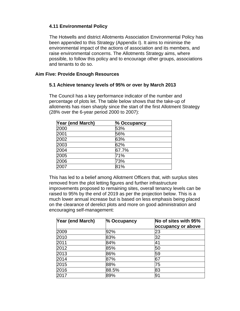## **4.11 Environmental Policy**

The Hotwells and district Allotments Association Environmental Policy has been appended to this Strategy (Appendix I). It aims to minimise the environmental impact of the actions of association and its members, and raise environmental concerns. The Allotments Strategy aims, where possible, to follow this policy and to encourage other groups, associations and tenants to do so.

### **Aim Five: Provide Enough Resources**

#### **5.1 Achieve tenancy levels of 95% or over by March 2013**

The Council has a key performance indicator of the number and percentage of plots let. The table below shows that the take-up of allotments has risen sharply since the start of the first Allotment Strategy (28% over the 6-year period 2000 to 2007):

| Year (end March) | % Occupancy |
|------------------|-------------|
| 2000             | 53%         |
| 2001             | 56%         |
| 2002             | 63%         |
| 2003             | 62%         |
| 2004             | 67.7%       |
| 2005             | 71%         |
| 2006             | 73%         |
| 2007             | 81%         |

This has led to a belief among Allotment Officers that, with surplus sites removed from the plot letting figures and further infrastructure improvements proposed to remaining sites, overall tenancy levels can be raised to 95% by the end of 2019 as per the projection below. This is a much lower annual increase but is based on less emphasis being placed on the clearance of derelict plots and more on good administration and encouraging self-management:

| Year (end March) | % Occupancy | No of sites with 95%<br>occupancy or above |
|------------------|-------------|--------------------------------------------|
| 2009             | 92%         | 23                                         |
| 2010             | 83%         | 32                                         |
| 2011             | 84%         | 41                                         |
| 2012             | 85%         | 50                                         |
| 2013             | 86%         | 59                                         |
| 2014             | 87%         | 67                                         |
| 2015             | 88%         | 75                                         |
| 2016             | 88.5%       | 83                                         |
| 2017             | 89%         | ۱g                                         |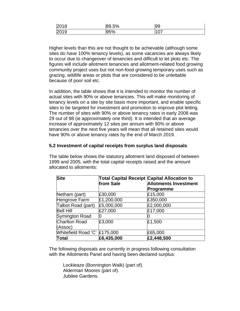| 2018 | 89.5% | 99  |
|------|-------|-----|
| 2019 | 95%   | 107 |

Higher levels than this are not thought to be achievable (although some sites do have 100% tenancy levels), as some vacancies are always likely to occur due to changeover of tenancies and difficult to let plots etc. The figures will include allotment tenancies and allotment-related food growing community project uses but not non-food growing temporary uses such as grazing, wildlife areas or plots that are considered to be unlettable because of poor soil etc.

In addition, the table shows that it is intended to monitor the number of actual sites with 90% or above tenancies. This will make monitoring of tenancy levels on a site by site basis more important, and enable specific sites to be targeted for investment and promotion to improve plot letting. The number of sites with 90% or above tenancy rates in early 2008 was 29 out of 98 (ie approximately one third). It is intended that an average increase of approximately 12 sites per annum with 90% or above tenancies over the next five years will mean that all retained sites would have 90% or above tenancy rates by the end of March 2019.

#### **5.2 Investment of capital receipts from surplus land disposals**

The table below shows the statutory allotment land disposed of between 1999 and 2005, with the total capital receipts raised and the amount allocated to allotments:

| <b>Site</b>                  | <b>Total Capital Receipt Capital Allocation to</b><br>from Sale | <b>Allotments Investment</b><br>Programme |
|------------------------------|-----------------------------------------------------------------|-------------------------------------------|
| Netham (part)                | £30,000                                                         | £15,000                                   |
| Hengrove Farm                | £1,200,000                                                      | £350,000                                  |
| Talbot Road (part)           | £5,000,000                                                      | £2,000,000                                |
| <b>Bell Hill</b>             | £27,000                                                         | £17,000                                   |
| Symington Road               | 0                                                               |                                           |
| <b>Charlton Road</b>         | £3,000                                                          | £1,500                                    |
| (Assoc)                      |                                                                 |                                           |
| Whitefield Road 'C' £175,000 |                                                                 | £65,000                                   |
| <b>Total</b>                 | £6,435,000                                                      | £2,448,500                                |

The following disposals are currently in progress following consultation with the Allotments Panel and having been declared surplus:

Lockleaze (Bonnington Walk) (part of). Alderman Moores (part of). Jubilee Gardens.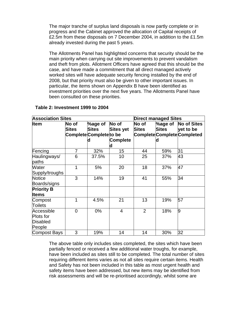The major tranche of surplus land disposals is now partly complete or in progress and the Cabinet approved the allocation of Capital receipts of £2.5m from these disposals on 7 December 2004, in addition to the £1.5m already invested during the past 5 years.

The Allotments Panel has highlighted concerns that security should be the main priority when carrying out site improvements to prevent vandalism and theft from plots. Allotment Officers have agreed that this should be the case, and have made a commitment that all direct managed actively worked sites will have adequate security fencing installed by the end of 2008, but that priority must also be given to other important issues. In particular, the items shown on Appendix B have been identified as investment priorities over the next five years. The Allotments Panel have been consulted on these priorities.

| <b>Association Sites</b>                      |                |                                                         |                                            | <b>Direct managed Sites</b> |                              |                                                                       |
|-----------------------------------------------|----------------|---------------------------------------------------------|--------------------------------------------|-----------------------------|------------------------------|-----------------------------------------------------------------------|
| <b>Item</b>                                   | No of<br>Sites | %age of<br><b>Sites</b><br>Complete Complete to be<br>d | No of<br><b>Sites yet</b><br>Complete<br>d | No of<br><b>Sites</b>       | %age of<br><b>Sites</b><br>d | <b>No of Sites</b><br>yet to be<br><b>Complete Complete Completed</b> |
| Fencing                                       | 7              | 32%                                                     | 15                                         | 44                          | 59%                          | 31                                                                    |
| Haulingways/<br>paths                         | 6              | 37.5%                                                   | 10                                         | 25                          | 37%                          | 43                                                                    |
| Water<br>Supply/troughs                       | 1              | 5%                                                      | 20                                         | 18                          | 37%                          | 47                                                                    |
| Notice<br>Boards/signs                        | 3              | 14%                                                     | 19                                         | 41                          | 55%                          | 34                                                                    |
| <b>Priority B</b><br><b>Items</b>             |                |                                                         |                                            |                             |                              |                                                                       |
| Compost<br><b>Toilets</b>                     | 1              | 4.5%                                                    | 21                                         | 13                          | 19%                          | 57                                                                    |
| Accessible<br>Plots for<br>Disabled<br>People | $\overline{0}$ | $0\%$                                                   | $\overline{4}$                             | 2                           | 18%                          | 9                                                                     |
| Compost Bays                                  | 3              | 19%                                                     | 14                                         | 14                          | 30%                          | 32                                                                    |

#### **Table 2: Investment 1999 to 2004**

The above table only includes sites completed, the sites which have been partially fenced or received a few additional water troughs, for example, have been included as sites still to be completed. The total number of sites requiring different items varies as not all sites require certain items. Health and Safety has not been included in this table as most urgent health and safety items have been addressed, but new items may be identified from risk assessments and will be re-prioritised accordingly, whilst some are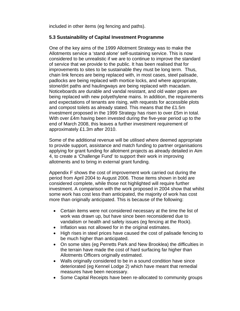included in other items (eg fencing and paths).

## **5.3 Sustainability of Capital Investment Programme**

One of the key aims of the 1999 Allotment Strategy was to make the Allotments service a 'stand alone' self-sustaining service. This is now considered to be unrealistic if we are to continue to improve the standard of service that we provide to the public. It has been realised that for improvements to sites to be sustainable they must be long term. Thus, chain link fences are being replaced with, in most cases, steel palisade, padlocks are being replaced with mortice locks, and where appropriate, stone/dirt paths and haulingways are being replaced with macadam. Noticeboards are durable and vandal resistant, and old water pipes are being replaced with new polyethylene mains. In addition, the requirements and expectations of tenants are rising, with requests for accessible plots and compost toilets as already stated. This means that the £1.5m investment proposed in the 1999 Strategy has risen to over £5m in total. With over £4m having been invested during the five-year period up to the end of March 2008, this leaves a further investment requirement of approximately £1.3m after 2010.

Some of the additional revenue will be utilised where deemed appropriate to provide support, assistance and match funding to partner organisations applying for grant funding for allotment projects as already detailed in Aim 4, to create a 'Challenge Fund' to support their work in improving allotments and to bring in external grant funding.

Appendix F shows the cost of improvement work carried out during the period from April 2004 to August 2006. Those items shown in bold are considered complete, while those not highlighted will require further investment. A comparison with the work proposed in 2004 show that whilst some work has cost less than anticipated, the majority of work has cost more than originally anticipated. This is because of the following:

- Certain items were not considered necessary at the time the list of work was drawn up, but have since been reconsidered due to vandalism or health and safety issues (eg fencing at the Rock).
- Inflation was not allowed for in the original estimates.
- High rises in steel prices have caused the cost of palisade fencing to be much higher than anticipated.
- On some sites (eg Perretts Park and New Brooklea) the difficulties in the terrain have made the cost of hard surfacing far higher than Allotments Officers originally estimated.
- Walls originally considered to be in a sound condition have since deteriorated (eg Kennel Lodge 2) which have meant that remedial measures have been necessary.
- Some Capital Receipts have been re-allocated to community groups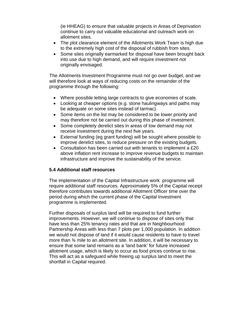(ie HHEAG) to ensure that valuable projects in Areas of Deprivation continue to carry out valuable educational and outreach work on allotment sites.

- The plot clearance element of the Allotments Work Team is high due to the extremely high cost of the disposal of rubbish from sites.
- Some sites originally earmarked for disposal have been brought back into use due to high demand, and will require investment not originally envisaged.

The Allotments Investment Programme must not go over budget, and we will therefore look at ways of reducing costs on the remainder of the programme through the following:

- Where possible letting large contracts to give economies of scale.
- Looking at cheaper options (e.g. stone haulingways and paths may be adequate on some sites instead of tarmac).
- Some items on the list may be considered to be lower priority and may therefore not be carried out during this phase of investment.
- Some completely derelict sites in areas of low demand may not receive investment during the next five years.
- External funding (eg grant funding) will be sought where possible to improve derelict sites, to reduce pressure on the existing budgets.
- Consultation has been carried out with tenants to implement a £20 above inflation rent increase to improve revenue budgets to maintain infrastructure and improve the sustainability of the service.

#### **5.4 Additional staff resources**

The implementation of the Capital Infrastructure work programme will require additional staff resources. Approximately 5% of the Capital receipt therefore contributes towards additional Allotment Officer time over the period during which the current phase of the Capital Investment programme is implemented.

Further disposals of surplus land will be required to fund further improvements. However, we will continue to dispose of sites only that have less than 25% tenancy rates and that are in Neighbourhood Partnership Areas with less than 7 plots per 1,000 population. In addition we would not dispose of land if it would cause residents to have to travel more than ¾ mile to an allotment site. In addition, it will be necessary to ensure that some land remains as a 'land bank' for future increased allotment usage, which is likely to occur as food prices continue to rise. This will act as a safeguard while freeing up surplus land to meet the shortfall in Capital required.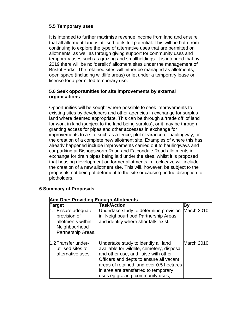## **5.5 Temporary uses**

It is intended to further maximise revenue income from land and ensure that all allotment land is utilised to its full potential. This will be both from continuing to explore the type of alternative uses that are permitted on allotments, as well as through giving support for community uses and temporary uses such as grazing and smallholdings. It is intended that by 2019 there will be no 'derelict' allotment sites under the management of Bristol Parks. The retained sites will either be managed as allotments, open space (including wildlife areas) or let under a temporary lease or license for a permitted temporary use.

#### **5.6 Seek opportunities for site improvements by external organisations**

Opportunities will be sought where possible to seek improvements to existing sites by developers and other agencies in exchange for surplus land where deemed appropriate. This can be through a 'trade off' of land for work in kind (subject to the land being surplus), or it may be through granting access for pipes and other accesses in exchange for improvements to a site such as a fence, plot clearance or haulingway, or the creation of a complete new allotment site. Examples of where this has already happened include improvements carried out to haulingways and car parking at Bishopsworth Road and Falcondale Road allotments in exchange for drain pipes being laid under the sites, whilst it is proposed that housing development on former allotments in Lockleaze will include the creation of a new allotment site. This will, however, be subject to the proposals not being of detriment to the site or causing undue disruption to plotholders.

| <b>Aim One: Providing Enough Allotments</b>                                                     |                                                                                                                                                                                                                                                                                               |             |  |
|-------------------------------------------------------------------------------------------------|-----------------------------------------------------------------------------------------------------------------------------------------------------------------------------------------------------------------------------------------------------------------------------------------------|-------------|--|
| <b>Target</b>                                                                                   | <b>Task/Action</b>                                                                                                                                                                                                                                                                            | Βy          |  |
| 1.1 Ensure adequate<br>provision of<br>allotments within<br>Neighbourhood<br>Partnership Areas. | Undertake study to determine provision<br>in Neighbourhood Partnership Areas,<br>and identify where shortfalls exist.                                                                                                                                                                         | March 2010. |  |
| 1.2 Transfer under-<br>utilised sites to<br>alternative uses.                                   | Undertake study to identify all land<br>available for wildlife, cemetery, disposal<br>and other use, and liaise with other<br>Officers and depts to ensure all vacant<br>areas of retained land over 0.5 hectares<br>in area are transferred to temporary<br>uses eg grazing, community uses, | March 2010. |  |

#### **6 Summary of Proposals**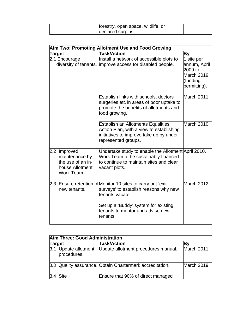| forestry, open space, wildlife, or<br>declared surplus. |  |
|---------------------------------------------------------|--|
|---------------------------------------------------------|--|

| Aim Two: Promoting Allotment Use and Food Growing                                    |                                                                                                                                                                                                                 |                                                                                 |  |
|--------------------------------------------------------------------------------------|-----------------------------------------------------------------------------------------------------------------------------------------------------------------------------------------------------------------|---------------------------------------------------------------------------------|--|
| Target                                                                               | <b>Task/Action</b>                                                                                                                                                                                              | By                                                                              |  |
| 2.1 Encourage                                                                        | Install a network of accessible plots to<br>diversity of tenants. improve access for disabled people.                                                                                                           | 1 site per<br>annum, April<br>2009 to<br>March 2019<br>(funding<br>permitting). |  |
|                                                                                      | Establish links with schools, doctors<br>surgeries etc in areas of poor uptake to<br>promote the benefits of allotments and<br>food growing.                                                                    | March 2011.                                                                     |  |
|                                                                                      | <b>Establish an Allotments Equalities</b><br>Action Plan, with a view to establishing<br>initiatives to improve take up by under-<br>represented groups.                                                        | March 2010.                                                                     |  |
| 2.2 Improved<br>maintenance by<br>the use of an in-<br>house Allotment<br>Work Team. | Undertake study to enable the Allotment April 2010.<br>Work Team to be sustainably financed<br>to continue to maintain sites and clear<br>vacant plots.                                                         |                                                                                 |  |
| new tenants.                                                                         | 2.3 Ensure retention of Monitor 10 sites to carry out 'exit<br>surveys' to establish reasons why new<br>tenants vacate.<br>Set up a 'Buddy' system for existing<br>tenants to mentor and advise new<br>tenants. | March 2012.                                                                     |  |

|        | Aim Three: Good Administration      |                                                          |                    |  |
|--------|-------------------------------------|----------------------------------------------------------|--------------------|--|
| Target |                                     | Task/Action                                              |                    |  |
|        | 3.1 Update allotment<br>procedures. | Update allotment procedures manual.                      | March 2011.        |  |
|        |                                     | 3.3 Quality assurance. Obtain Chartermark accreditation. | <b>March 2019.</b> |  |
|        | $3.4$ Site                          | Ensure that 90% of direct managed                        |                    |  |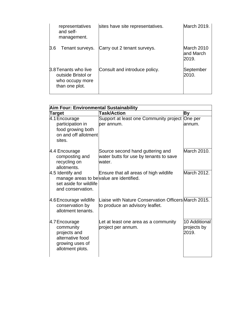| representatives<br>and self-<br>management.                                     | sites have site representatives. | March 2019.                      |
|---------------------------------------------------------------------------------|----------------------------------|----------------------------------|
| 3.6<br>Tenant surveys.                                                          | Carry out 2 tenant surveys.      | March 2010<br>and March<br>2019. |
| 3.8 Tenants who live<br>outside Bristol or<br>who occupy more<br>than one plot. | Consult and introduce policy.    | September<br>2010.               |

| Aim Four: Environmental Sustainability                                                                      |                                                                                         |                                       |  |
|-------------------------------------------------------------------------------------------------------------|-----------------------------------------------------------------------------------------|---------------------------------------|--|
| Target                                                                                                      | <b>Task/Action</b>                                                                      | By                                    |  |
| 4.1 Encourage<br>participation in                                                                           | Support at least one Community project<br>per annum.                                    | One per<br>annum.                     |  |
| food growing both<br>on and off allotment<br>sites.                                                         |                                                                                         |                                       |  |
| 4.4 Encourage<br>composting and<br>recycling on<br>allotments.                                              | Source second hand guttering and<br>water butts for use by tenants to save<br>water.    | March 2010.                           |  |
| 4.5 Identify and<br>manage areas to be value are identified.<br>set aside for wildlife<br>and conservation. | Ensure that all areas of high wildlife                                                  | March 2012.                           |  |
| 4.6 Encourage wildlife<br>conservation by<br>allotment tenants.                                             | Liaise with Nature Conservation Officers March 2015.<br>to produce an advisory leaflet. |                                       |  |
| $4.7$ Encourage<br>community<br>projects and<br>alternative food<br>growing uses of<br>allotment plots.     | Let at least one area as a community<br>project per annum.                              | 10 Additional<br>projects by<br>2019. |  |